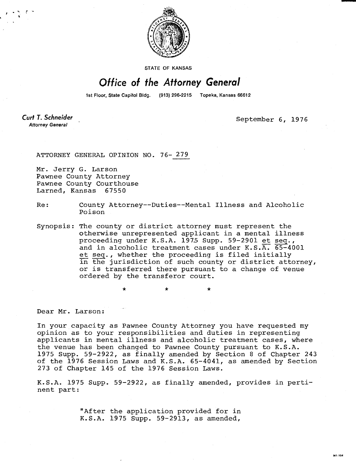

STATE OF KANSAS

## Office of the Attorney General

1st Floor, State Capitol Bldg. (913) 296-2215 Topeka, Kansas 66612

Curt T. Schneider **Attorney General** 

September 6, 1976

M1-104

ATTORNEY GENERAL OPINION NO. 76- 279

Mr. Jerry G. Larson Pawnee County Attorney Pawnee County Courthouse Larned, Kansas 67550

- Re: County Attorney--Duties--Mental Illness and Alcoholic Poison
- Synopsis: The county or district attorney must represent the otherwise unrepresented applicant in a mental illness proceeding under K.S.A. 1975 Supp. 59-2901 et seq., and in alcoholic treatment cases under K.S.A. 65-4001 et seq., whether the proceeding is filed initially in the jurisdiction of such county or district attorney, or is transferred there pursuant to a change of venue ordered by the transferor court.

Dear Mr. Larson:

In your capacity as Pawnee County Attorney you have requested my opinion as to your responsibilities and duties in representing applicants in mental illness and alcoholic treatment cases, where the venue has been changed to Pawnee County pursuant to K.S.A. 1975 Supp. 59-2922, as finally amended by Section 8 of Chapter 243 of the 1976 Session Laws and K.S.A. 65-4041, as amended by Section 273 of Chapter 145 of the 1976 Session Laws.

K.S.A. 1975 Supp. 59-2922, as finally amended, provides in pertinent part:

> "After the application provided for in K.S.A. 1975 Supp. 59-2913, as amended,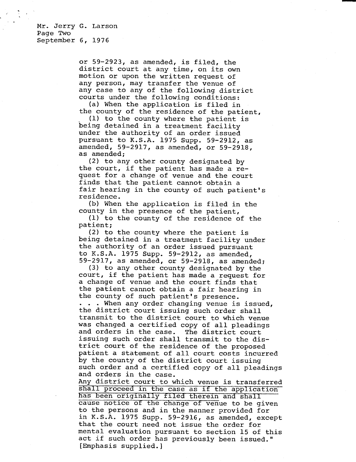or 59-2923, as amended, is filed, the district court at any time, on its own motion or upon the written request of any person, may transfer the venue of any case to any of the following district courts under the following conditions:

(a) When the application is filed in the county of the residence of the patient,

(1) to the county where the patient is being detained in a treatment facility under the authority of an order issued pursuant to K.S.A. 1975 Supp. 59-2912, as amended, 59-2917, as amended, or 59-2918, as amended;

(2) to any other county designated by the court, if the patient has made a request for a change of venue and the court finds that the patient cannot obtain a fair hearing in the county of such patient's residence.

(b) When the application is filed in the county in the presence of the patient,

(1) to the county of the residence of the patient;

(2) to the county where the patient is being detained in a treatment facility under the authority of an order issued pursuant to K.S.A. 1975 Supp. 59-2912, as amended, 59-2917, as amended, or 59-2918, as amended;

(3) to any other county designated by the court, if the patient has made a request for a change of venue and the court finds that the patient cannot obtain a fair hearing in the county of such patient's presence.

. . . When any order changing venue is issued, the district court issuing such order shall transmit to the district court to which venue was changed a certified copy of all pleadings and orders in the case. The district court issuing such order shall transmit to the district court of the residence of the proposed patient a statement of all court costs incurred by the county of the district court issuing such order and a certified copy of all pleadings and orders in the case.

Any district court to which venue is transferred shall proceed in the case as if the application has been originally filed therein and shall cause notice of the change of venue to be given to the persons and in the manner provided for in K.S.A. 1975 Supp. 59-2916, as amended, except that the court need not issue the order for mental evaluation pursuant to section 15 of this act if such order has previously been issued." [Emphasis supplied.]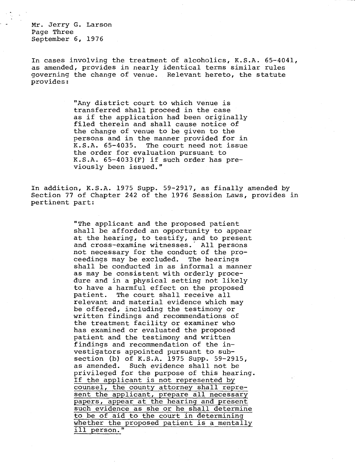Mr. Jerry G. Larson Page Three September 6, 1976

In cases involving the treatment of alcoholics, K.S.A. 65-4041, as amended, provides in nearly identical terms similar rules governing the change of venue. Relevant hereto, the statute provides:

> "Any district court to which venue is transferred shall proceed in the case as if the application had been originally filed therein and shall cause notice of the change of venue to be given to the persons and in the manner provided for in K.S.A. 65-4035. The court need not issue the order for evaluation pursuant to K.S.A. 65-4033(F) if such order has previously been issued."

In addition, K.S.A. 1975 Supp. 59-2917, as finally amended by Section 77 of Chapter 242 of the 1976 Session Laws, provides in pertinent part:

> "The applicant and the proposed patient shall be afforded an opportunity to appear at the hearing, to testify, and to present and cross-examine witnesses. All persons not necessary for the conduct of the proceedings may be excluded. The hearings shall be conducted in as informal a manner as may be consistent with orderly procedure and in a physical setting not likely to have a harmful effect on the proposed patient. The court shall receive all relevant and material evidence which may be offered, including the testimony or written findings and recommendations of the treatment facility or examiner who has examined or evaluated the proposed patient and the testimony and written findings and recommendation of the investigators appointed pursuant to subsection (b) of K.S.A. 1975 Supp. 59-2915, as amended. Such evidence shall not be privileged for the purpose of this hearing. If the applicant is not represented by counsel, the county attorney shall represent the applicant, prepare all necessary papers, appear at the hearing and present such evidence as she or he shall determine to be of aid to the court in determining whether the proposed patient is a mentally ill person."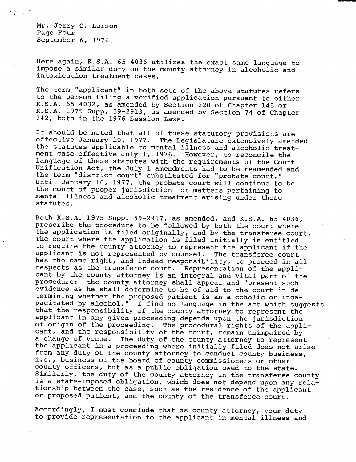Mr. Jerry G. Larson Page Four September 6, 1976

Here again, K.S.A. 65-4036 utilizes the exact same language to impose a similar duty on the county attorney in alcoholic and intoxication treatment cases.

The term "applicant" in both sets of the above statutes refers to the person filing a verified application pursuant to either K.S.A. 65-4032, as amended by Section 220 of Chapter 145 or K.S.A. 1975 Supp. 59-2913, as amended by Section 74 of Chapter 242, both in the 1976 Session Laws.

It should be noted that all of these statutory provisions are effective January 10, 1977. The Legislature extensively amended the statutes applicable to mental illness and alcoholic treatment case effective July 1, 1976. However, to reconcile the language of these statutes with the requirements of the Court Unification Act, the July 1 amendments had to be reamended and the term "district court" substituted for "probate court." Until January 10, 1977, the probate court will continue to be the court of proper jurisdiction for matters pertaining to mental illness and alcoholic treatment arising under these statutes.

Both K.S.A. 1975 Supp. 59-2917, as amended, and K.S.A. 65-4036, prescribe the procedure to be followed by both the court where the application is filed originally, and by the transferee court. The court where the application is filed initially is entitled to require the county attorney to represent the applicant if the applicant is not represented by counsel. The transferee court has the same right, and indeed responsibility, to proceed in all respects as the transferor court. Representation of the applicant by the county attorney is an integral and vital part of the procedure: the county attorney shall appear and "present such evidence as he shall determine to be of aid to the court in determining whether the proposed patient is an alcoholic or incapacitated by alcohol." I find no language in the act which suggests that the responsibility of the county attorney to represent the applicant in any given proceeding depends upon the jurisdiction of origin of the proceeding. The procedural rights of the applicant, and the responsibility of the court, remain unimpaired by a change of venue. The duty of the county attorney to represent the applicant in a proceeding where initially filed does not arise from any duty of the county attorney to conduct county business, i.e., business of the board of county commissioners or other county officers, but as a public obligation owed to the state. Similarly, the duty of the county attorney in the transferee county is a state-imposed obligation, which does not depend upon any relationship between the case, such as the residence of the applicant or proposed-patient, and the county of the transferee court.

Accordingly, I must conclude that as county attorney, your duty to provide representation to the applicant in mental illness and